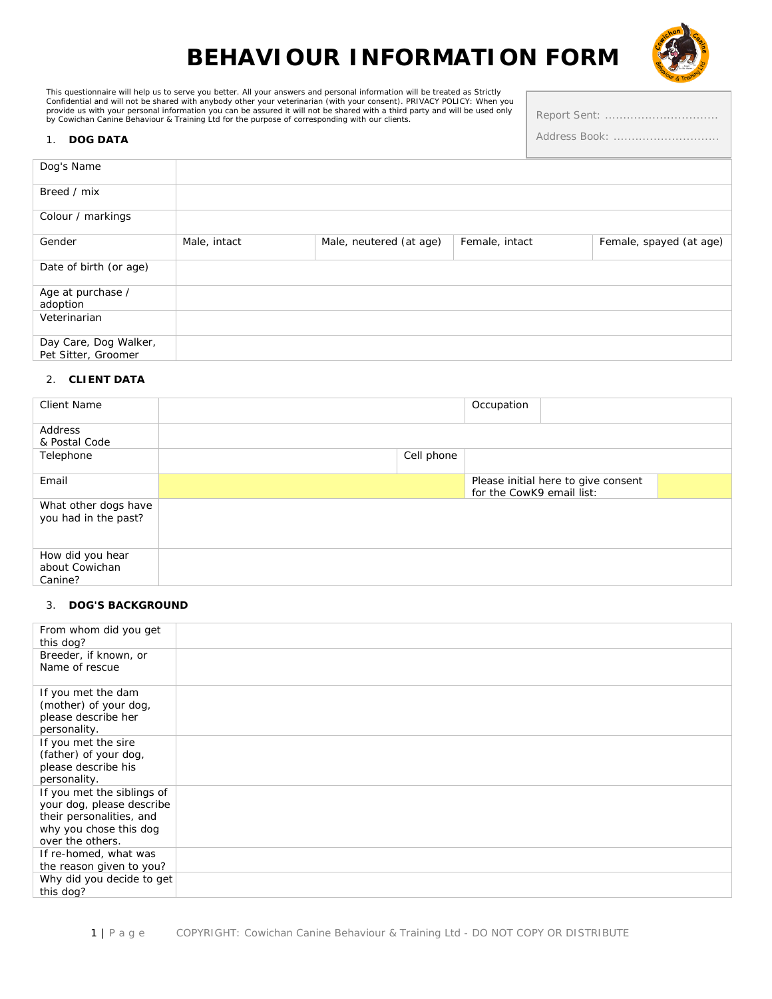# **BEHAVIOUR INFORMATION FORM**



Report Sent: ................................. Address Book: .............................

This questionnaire will help us to serve you better. All your answers and personal information will be treated as Strictly<br>Confidential and will not be shared with anybody other your veterinarian (with your consent). PRIVA

#### 1. **DOG DATA**

| Dog's Name                                   |              |                         |                |                         |
|----------------------------------------------|--------------|-------------------------|----------------|-------------------------|
| Breed / mix                                  |              |                         |                |                         |
| Colour / markings                            |              |                         |                |                         |
| Gender                                       | Male, intact | Male, neutered (at age) | Female, intact | Female, spayed (at age) |
| Date of birth (or age)                       |              |                         |                |                         |
| Age at purchase /<br>adoption                |              |                         |                |                         |
| Veterinarian                                 |              |                         |                |                         |
| Day Care, Dog Walker,<br>Pet Sitter, Groomer |              |                         |                |                         |

#### 2. **CLIENT DATA**

| <b>Client Name</b>                            |            | Occupation                |                                     |  |
|-----------------------------------------------|------------|---------------------------|-------------------------------------|--|
| Address                                       |            |                           |                                     |  |
| & Postal Code                                 |            |                           |                                     |  |
| Telephone                                     | Cell phone |                           |                                     |  |
| Email                                         |            |                           | Please initial here to give consent |  |
|                                               |            | for the CowK9 email list: |                                     |  |
| What other dogs have<br>you had in the past?  |            |                           |                                     |  |
| How did you hear<br>about Cowichan<br>Canine? |            |                           |                                     |  |

#### 3. **DOG'S BACKGROUND**

| From whom did you get<br>this dog?                                                                                                |  |
|-----------------------------------------------------------------------------------------------------------------------------------|--|
| Breeder, if known, or<br>Name of rescue                                                                                           |  |
| If you met the dam<br>(mother) of your dog,<br>please describe her<br>personality.                                                |  |
| If you met the sire<br>(father) of your dog,<br>please describe his<br>personality.                                               |  |
| If you met the siblings of<br>your dog, please describe<br>their personalities, and<br>why you chose this dog<br>over the others. |  |
| If re-homed, what was<br>the reason given to you?                                                                                 |  |
| Why did you decide to get<br>this dog?                                                                                            |  |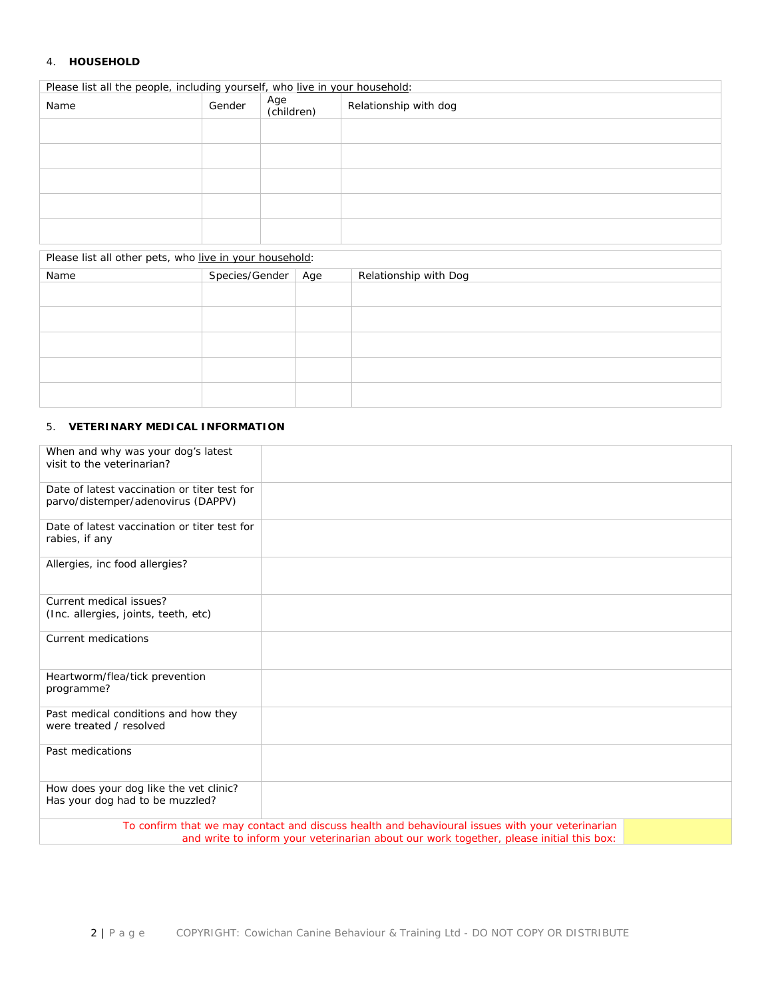#### 4. **HOUSEHOLD**

| Please list all the people, including yourself, who live in your household: |                |                   |     |                       |  |
|-----------------------------------------------------------------------------|----------------|-------------------|-----|-----------------------|--|
| Name                                                                        | Gender         | Age<br>(children) |     | Relationship with dog |  |
|                                                                             |                |                   |     |                       |  |
|                                                                             |                |                   |     |                       |  |
|                                                                             |                |                   |     |                       |  |
|                                                                             |                |                   |     |                       |  |
|                                                                             |                |                   |     |                       |  |
| Please list all other pets, who live in your household:                     |                |                   |     |                       |  |
| Name                                                                        | Species/Gender |                   | Age | Relationship with Dog |  |
|                                                                             |                |                   |     |                       |  |
|                                                                             |                |                   |     |                       |  |
|                                                                             |                |                   |     |                       |  |

### 5. **VETERINARY MEDICAL INFORMATION**

| When and why was your dog's latest<br>visit to the veterinarian?                                                                                                                           |  |  |  |  |
|--------------------------------------------------------------------------------------------------------------------------------------------------------------------------------------------|--|--|--|--|
| Date of latest vaccination or titer test for<br>parvo/distemper/adenovirus (DAPPV)                                                                                                         |  |  |  |  |
| Date of latest vaccination or titer test for<br>rabies, if any                                                                                                                             |  |  |  |  |
| Allergies, inc food allergies?                                                                                                                                                             |  |  |  |  |
| Current medical issues?<br>(Inc. allergies, joints, teeth, etc)                                                                                                                            |  |  |  |  |
| Current medications                                                                                                                                                                        |  |  |  |  |
| Heartworm/flea/tick prevention<br>programme?                                                                                                                                               |  |  |  |  |
| Past medical conditions and how they<br>were treated / resolved                                                                                                                            |  |  |  |  |
| Past medications                                                                                                                                                                           |  |  |  |  |
| How does your dog like the vet clinic?<br>Has your dog had to be muzzled?                                                                                                                  |  |  |  |  |
| To confirm that we may contact and discuss health and behavioural issues with your veterinarian<br>and write to inform your veterinarian about our work together, please initial this box: |  |  |  |  |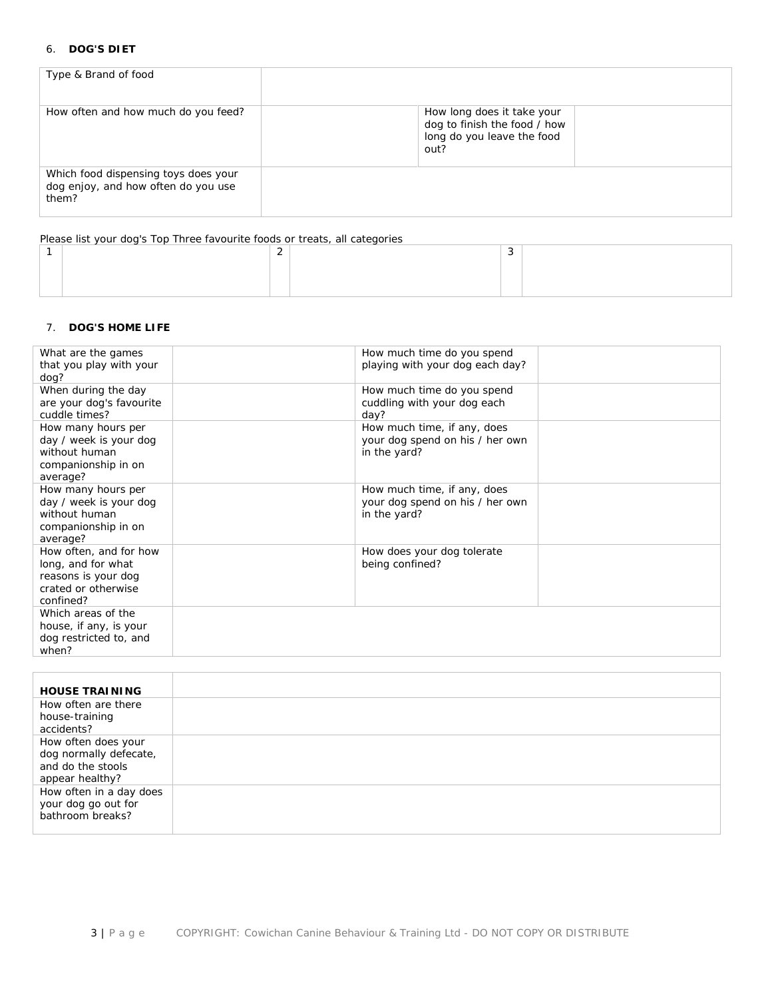# 6. **DOG'S DIET**

| Type & Brand of food                                                                 |                                                                                                  |  |
|--------------------------------------------------------------------------------------|--------------------------------------------------------------------------------------------------|--|
| How often and how much do you feed?                                                  | How long does it take your<br>dog to finish the food / how<br>long do you leave the food<br>out? |  |
| Which food dispensing toys does your<br>dog enjoy, and how often do you use<br>them? |                                                                                                  |  |

Please list your dog's Top Three favourite foods or treats, all categories

# 7. **DOG'S HOME LIFE**

| What are the games<br>that you play with your<br>dog?                                                   | How much time do you spend<br>playing with your dog each day?                  |  |
|---------------------------------------------------------------------------------------------------------|--------------------------------------------------------------------------------|--|
| When during the day<br>are your dog's favourite<br>cuddle times?                                        | How much time do you spend<br>cuddling with your dog each<br>day?              |  |
| How many hours per<br>day / week is your dog<br>without human<br>companionship in on<br>average?        | How much time, if any, does<br>your dog spend on his / her own<br>in the yard? |  |
| How many hours per<br>day / week is your dog<br>without human<br>companionship in on<br>average?        | How much time, if any, does<br>your dog spend on his / her own<br>in the yard? |  |
| How often, and for how<br>long, and for what<br>reasons is your dog<br>crated or otherwise<br>confined? | How does your dog tolerate<br>being confined?                                  |  |
| Which areas of the<br>house, if any, is your<br>dog restricted to, and<br>when?                         |                                                                                |  |

| <b>HOUSE TRAINING</b>   |  |
|-------------------------|--|
| How often are there     |  |
| house-training          |  |
| accidents?              |  |
| How often does your     |  |
| dog normally defecate,  |  |
| and do the stools       |  |
| appear healthy?         |  |
| How often in a day does |  |
| your dog go out for     |  |
| bathroom breaks?        |  |
|                         |  |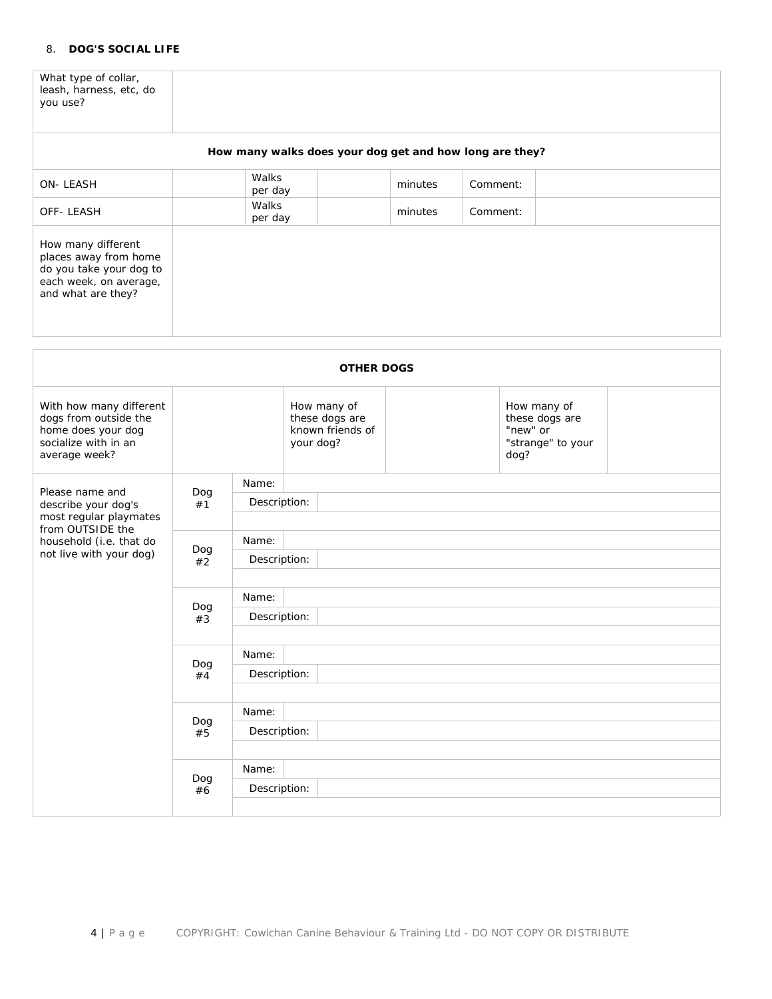# 8. **DOG'S SOCIAL LIFE**

What type of collar, leash, harness, etc, do you use?

|                                                                                                                        |                                    |                       | How many walks does your dog get and how long are they?        |         |          |                                                                        |  |
|------------------------------------------------------------------------------------------------------------------------|------------------------------------|-----------------------|----------------------------------------------------------------|---------|----------|------------------------------------------------------------------------|--|
| ON-LEASH                                                                                                               | Walks<br>per day                   |                       |                                                                | minutes | Comment: |                                                                        |  |
| OFF-LEASH                                                                                                              |                                    | Walks<br>per day      |                                                                | minutes | Comment: |                                                                        |  |
| How many different<br>places away from home<br>do you take your dog to<br>each week, on average,<br>and what are they? |                                    |                       |                                                                |         |          |                                                                        |  |
|                                                                                                                        |                                    |                       | <b>OTHER DOGS</b>                                              |         |          |                                                                        |  |
| With how many different<br>dogs from outside the<br>home does your dog<br>socialize with in an<br>average week?        |                                    |                       | How many of<br>these dogs are<br>known friends of<br>your dog? |         |          | How many of<br>these dogs are<br>"new" or<br>"strange" to your<br>dog? |  |
| Please name and                                                                                                        | Name:<br>Dog<br>Description:<br>#1 |                       |                                                                |         |          |                                                                        |  |
| describe your dog's<br>most regular playmates                                                                          |                                    |                       |                                                                |         |          |                                                                        |  |
| from OUTSIDE the<br>household (i.e. that do<br>not live with your dog)                                                 | Dog                                | Name:                 |                                                                |         |          |                                                                        |  |
|                                                                                                                        | #2                                 | Description:          |                                                                |         |          |                                                                        |  |
|                                                                                                                        |                                    | Name:                 |                                                                |         |          |                                                                        |  |
|                                                                                                                        | Dog<br>#3                          | Description:          |                                                                |         |          |                                                                        |  |
|                                                                                                                        |                                    | Name:                 |                                                                |         |          |                                                                        |  |
|                                                                                                                        | Dog<br>#4                          | Description:          |                                                                |         |          |                                                                        |  |
|                                                                                                                        |                                    | Name:                 |                                                                |         |          |                                                                        |  |
|                                                                                                                        | Dog<br>#5                          | Description:          |                                                                |         |          |                                                                        |  |
|                                                                                                                        |                                    |                       |                                                                |         |          |                                                                        |  |
|                                                                                                                        | Dog<br>#6                          | Name:<br>Description: |                                                                |         |          |                                                                        |  |
|                                                                                                                        |                                    |                       |                                                                |         |          |                                                                        |  |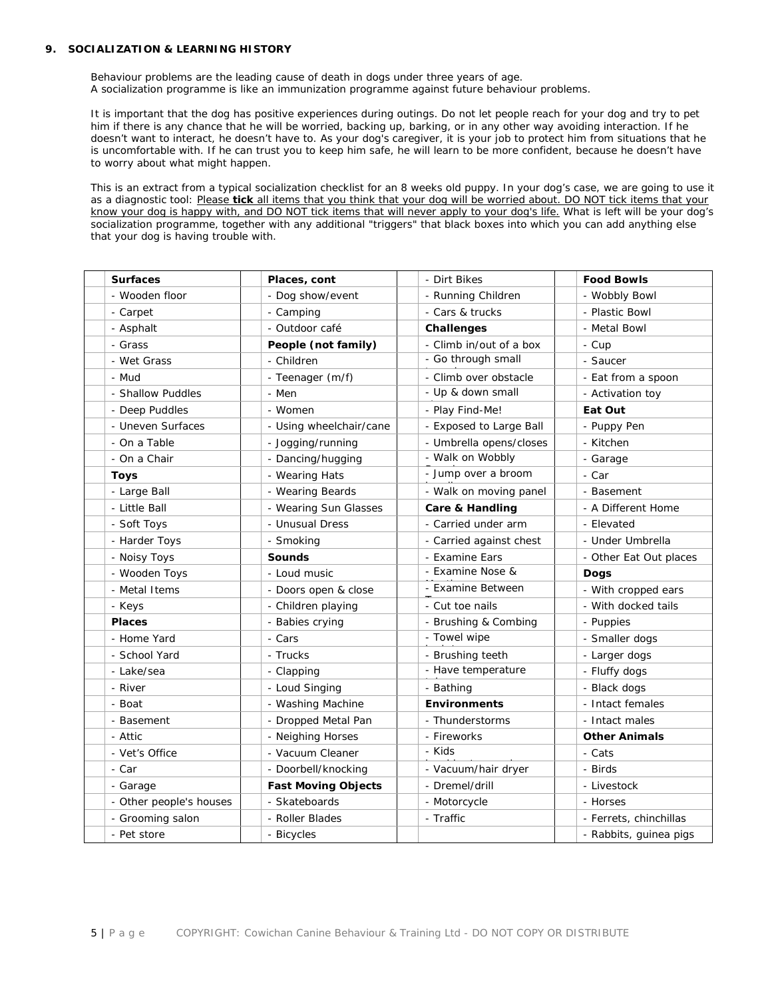#### **9. SOCIALIZATION & LEARNING HISTORY**

Behaviour problems are the leading cause of death in dogs under three years of age. A socialization programme is like an immunization programme against future behaviour problems.

It is important that the dog has positive experiences during outings. Do not let people reach for your dog and try to pet him if there is any chance that he will be worried, backing up, barking, or in any other way avoiding interaction. If he doesn't want to interact, he doesn't have to. As your dog's caregiver, it is your job to protect him from situations that he is uncomfortable with. If he can trust you to keep him safe, he will learn to be more confident, because he doesn't have to worry about what might happen.

This is an extract from a typical socialization checklist for an 8 weeks old puppy. In your dog's case, we are going to use it as a diagnostic tool: *Please tick all items that you think that your dog will be worried about. DO NOT tick items that your know your dog is happy with, and DO NOT tick items that will never apply to your dog's life.* What is left will be your dog's socialization programme, together with any additional "triggers" that black boxes into which you can add anything else that your dog is having trouble with.

| <b>Surfaces</b>         | Places, cont               | - Dirt Bikes               | <b>Food Bowls</b>      |
|-------------------------|----------------------------|----------------------------|------------------------|
| - Wooden floor          | - Dog show/event           | - Running Children         | - Wobbly Bowl          |
| - Carpet                | - Camping                  | - Cars & trucks            |                        |
| - Asphalt               | - Outdoor café             | Challenges                 | - Metal Bowl           |
| - Grass                 | People (not family)        | - Climb in/out of a box    | - Cup                  |
| - Wet Grass             | - Children                 | - Go through small         | - Saucer               |
| - Mud                   | - Teenager (m/f)           | - Climb over obstacle      | - Eat from a spoon     |
| - Shallow Puddles       | - Men                      | - Up & down small          | - Activation toy       |
| - Deep Puddles          | - Women                    | - Play Find-Me!            | Eat Out                |
| - Uneven Surfaces       | - Using wheelchair/cane    | - Exposed to Large Ball    | - Puppy Pen            |
| - On a Table            | - Jogging/running          | - Umbrella opens/closes    | - Kitchen              |
| - On a Chair            | - Dancing/hugging          | - Walk on Wobbly           | - Garage               |
| <b>Toys</b>             | - Wearing Hats             | - Jump over a broom        | - Car                  |
| - Large Ball            | - Wearing Beards           | - Walk on moving panel     | - Basement             |
| - Little Ball           | - Wearing Sun Glasses      | <b>Care &amp; Handling</b> | - A Different Home     |
| - Soft Toys             | - Unusual Dress            | - Carried under arm        | - Elevated             |
| - Harder Toys           | - Smoking                  | - Carried against chest    | - Under Umbrella       |
| - Noisy Toys            | <b>Sounds</b>              | - Examine Ears             | - Other Eat Out places |
| - Wooden Toys           | - Loud music               | - Examine Nose &           | <b>Dogs</b>            |
| - Metal Items           | - Doors open & close       | - Examine Between          | - With cropped ears    |
| - Keys                  | - Children playing         | - Cut toe nails            | - With docked tails    |
| <b>Places</b>           | - Babies crying            | - Brushing & Combing       | - Puppies              |
| - Home Yard             | - Cars                     | - Towel wipe               | - Smaller dogs         |
| - School Yard           | - Trucks                   | - Brushing teeth           | - Larger dogs          |
| - Lake/sea              | - Clapping                 | - Have temperature         | - Fluffy dogs          |
| - River                 | - Loud Singing             | - Bathing                  | - Black dogs           |
| - Boat                  | - Washing Machine          | <b>Environments</b>        | - Intact females       |
| - Basement              | - Dropped Metal Pan        | - Thunderstorms            | - Intact males         |
| - Attic                 | - Neighing Horses          | - Fireworks                | <b>Other Animals</b>   |
| - Vet's Office          | - Vacuum Cleaner           | - Kids                     | - Cats                 |
| - Car                   | - Doorbell/knocking        | - Vacuum/hair dryer        | - Birds                |
| - Garage                | <b>Fast Moving Objects</b> | - Dremel/drill             | - Livestock            |
| - Other people's houses | - Skateboards              | - Motorcycle               | - Horses               |
| - Grooming salon        | - Roller Blades            | - Traffic                  | - Ferrets, chinchillas |
| - Pet store             | - Bicycles                 |                            | - Rabbits, guinea pigs |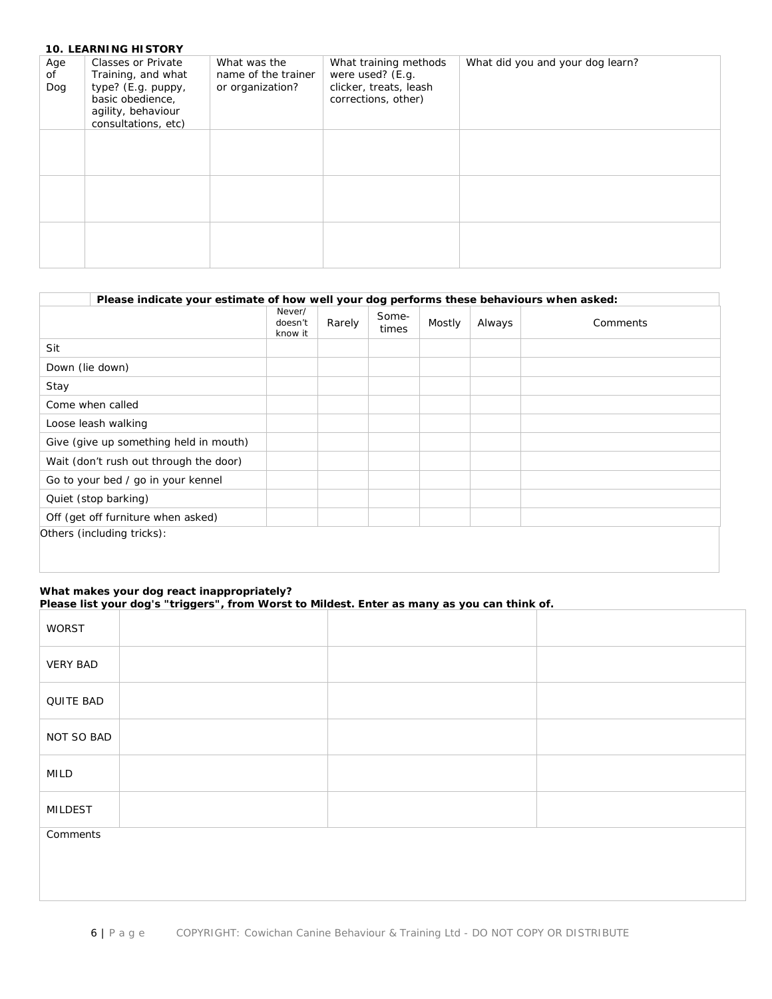|                  | <b>10. LEARNING HISTORY</b>                                                                                                            |                                                         |                                                                                            |                                  |
|------------------|----------------------------------------------------------------------------------------------------------------------------------------|---------------------------------------------------------|--------------------------------------------------------------------------------------------|----------------------------------|
| Age<br>of<br>Dog | <b>Classes or Private</b><br>Training, and what<br>type? (E.g. puppy,<br>basic obedience,<br>agility, behaviour<br>consultations, etc) | What was the<br>name of the trainer<br>or organization? | What training methods<br>were used? (E.g.<br>clicker, treats, leash<br>corrections, other) | What did you and your dog learn? |
|                  |                                                                                                                                        |                                                         |                                                                                            |                                  |
|                  |                                                                                                                                        |                                                         |                                                                                            |                                  |
|                  |                                                                                                                                        |                                                         |                                                                                            |                                  |

| Please indicate your estimate of how well your dog performs these behaviours when asked: |                              |        |                |        |        |          |
|------------------------------------------------------------------------------------------|------------------------------|--------|----------------|--------|--------|----------|
|                                                                                          | Never/<br>doesn't<br>know it | Rarely | Some-<br>times | Mostly | Always | Comments |
| Sit                                                                                      |                              |        |                |        |        |          |
| Down (lie down)                                                                          |                              |        |                |        |        |          |
| Stay                                                                                     |                              |        |                |        |        |          |
| Come when called                                                                         |                              |        |                |        |        |          |
| Loose leash walking                                                                      |                              |        |                |        |        |          |
| Give (give up something held in mouth)                                                   |                              |        |                |        |        |          |
| Wait (don't rush out through the door)                                                   |                              |        |                |        |        |          |
| Go to your bed / go in your kennel                                                       |                              |        |                |        |        |          |
| Quiet (stop barking)                                                                     |                              |        |                |        |        |          |
| Off (get off furniture when asked)                                                       |                              |        |                |        |        |          |
| Others (including tricks):                                                               |                              |        |                |        |        |          |
|                                                                                          |                              |        |                |        |        |          |

#### **What makes your dog react inappropriately? Please list your dog's "triggers", from Worst to Mildest. Enter as many as you can think of.**

| WORST           |  |
|-----------------|--|
| <b>VERY BAD</b> |  |
| QUITE BAD       |  |
| NOT SO BAD      |  |
| MILD            |  |
| <b>MILDEST</b>  |  |
| Comments        |  |
|                 |  |
|                 |  |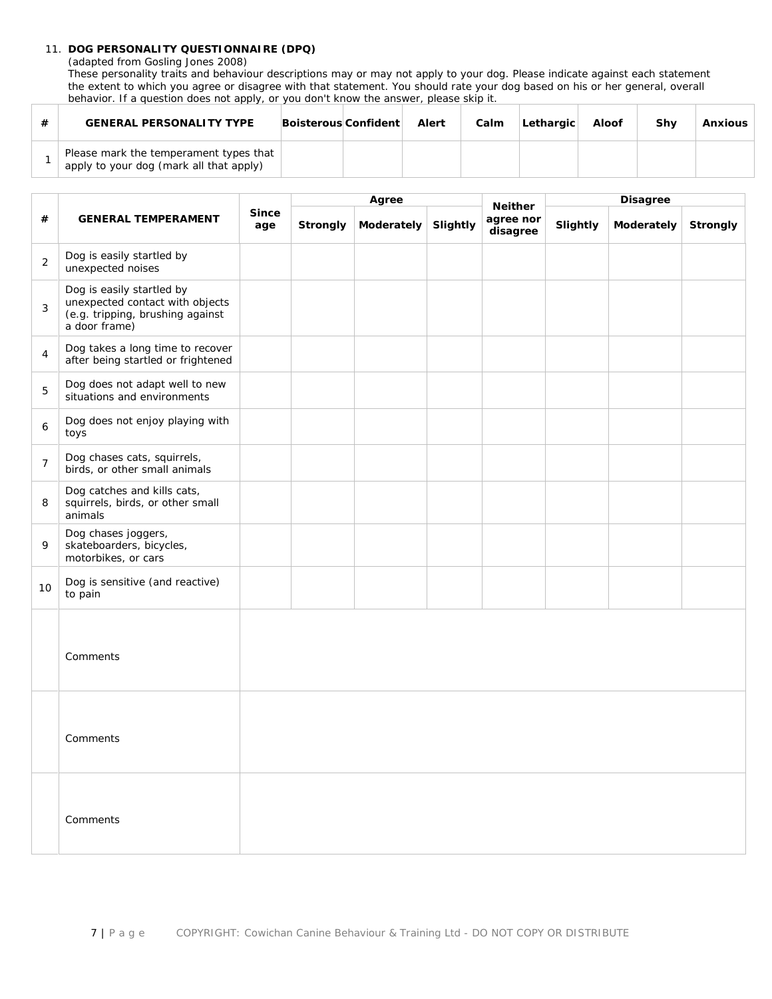# 11. **DOG PERSONALITY QUESTIONNAIRE (DPQ)**

(adapted from Gosling Jones 2008)

These personality traits and behaviour descriptions may or may not apply to your dog. Please indicate against each statement the extent to which you agree or disagree with that statement. You should rate your dog based on his or her general, overall behavior. If a question does not apply, or you don't know the answer, please skip it.

| <b>GENERAL PERSONALITY TYPE</b>                                                   | Boisterous Confident | Alert | Calm | Lethargic | Aloof | Shv | <b>Anxious</b> |
|-----------------------------------------------------------------------------------|----------------------|-------|------|-----------|-------|-----|----------------|
| Please mark the temperament types that<br>apply to your dog (mark all that apply) |                      |       |      |           |       |     |                |

|                |                                                                                                                   |                     |                 | Agree      |          | <b>Neither</b>        |          | <b>Disagree</b> |          |
|----------------|-------------------------------------------------------------------------------------------------------------------|---------------------|-----------------|------------|----------|-----------------------|----------|-----------------|----------|
| #              | <b>GENERAL TEMPERAMENT</b>                                                                                        | <b>Since</b><br>age | <b>Strongly</b> | Moderately | Slightly | agree nor<br>disagree | Slightly | Moderately      | Strongly |
| $\overline{2}$ | Dog is easily startled by<br>unexpected noises                                                                    |                     |                 |            |          |                       |          |                 |          |
| 3              | Dog is easily startled by<br>unexpected contact with objects<br>(e.g. tripping, brushing against<br>a door frame) |                     |                 |            |          |                       |          |                 |          |
| 4              | Dog takes a long time to recover<br>after being startled or frightened                                            |                     |                 |            |          |                       |          |                 |          |
| 5              | Dog does not adapt well to new<br>situations and environments                                                     |                     |                 |            |          |                       |          |                 |          |
| 6              | Dog does not enjoy playing with<br>toys                                                                           |                     |                 |            |          |                       |          |                 |          |
| $\overline{7}$ | Dog chases cats, squirrels,<br>birds, or other small animals                                                      |                     |                 |            |          |                       |          |                 |          |
| 8              | Dog catches and kills cats,<br>squirrels, birds, or other small<br>animals                                        |                     |                 |            |          |                       |          |                 |          |
| 9              | Dog chases joggers,<br>skateboarders, bicycles,<br>motorbikes, or cars                                            |                     |                 |            |          |                       |          |                 |          |
| 10             | Dog is sensitive (and reactive)<br>to pain                                                                        |                     |                 |            |          |                       |          |                 |          |
|                | Comments                                                                                                          |                     |                 |            |          |                       |          |                 |          |
|                | Comments                                                                                                          |                     |                 |            |          |                       |          |                 |          |
|                | Comments                                                                                                          |                     |                 |            |          |                       |          |                 |          |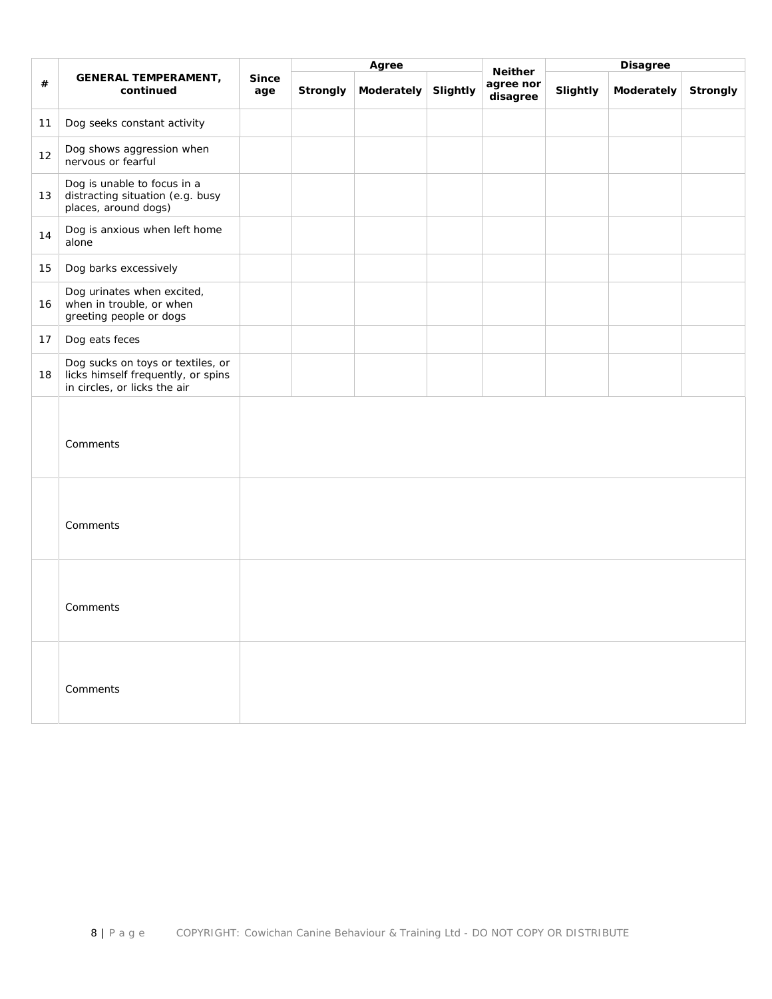|      |                                                                                                         |                     |          | Agree      |          | <b>Neither</b>        |          | <b>Disagree</b> |          |
|------|---------------------------------------------------------------------------------------------------------|---------------------|----------|------------|----------|-----------------------|----------|-----------------|----------|
| $\#$ | <b>GENERAL TEMPERAMENT,</b><br>continued                                                                | <b>Since</b><br>age | Strongly | Moderately | Slightly | agree nor<br>disagree | Slightly | Moderately      | Strongly |
| 11   | Dog seeks constant activity                                                                             |                     |          |            |          |                       |          |                 |          |
| 12   | Dog shows aggression when<br>nervous or fearful                                                         |                     |          |            |          |                       |          |                 |          |
| 13   | Dog is unable to focus in a<br>distracting situation (e.g. busy<br>places, around dogs)                 |                     |          |            |          |                       |          |                 |          |
| 14   | Dog is anxious when left home<br>alone                                                                  |                     |          |            |          |                       |          |                 |          |
| 15   | Dog barks excessively                                                                                   |                     |          |            |          |                       |          |                 |          |
| 16   | Dog urinates when excited,<br>when in trouble, or when<br>greeting people or dogs                       |                     |          |            |          |                       |          |                 |          |
| 17   | Dog eats feces                                                                                          |                     |          |            |          |                       |          |                 |          |
| 18   | Dog sucks on toys or textiles, or<br>licks himself frequently, or spins<br>in circles, or licks the air |                     |          |            |          |                       |          |                 |          |
|      | Comments                                                                                                |                     |          |            |          |                       |          |                 |          |
|      | Comments                                                                                                |                     |          |            |          |                       |          |                 |          |
|      | Comments                                                                                                |                     |          |            |          |                       |          |                 |          |
|      | Comments                                                                                                |                     |          |            |          |                       |          |                 |          |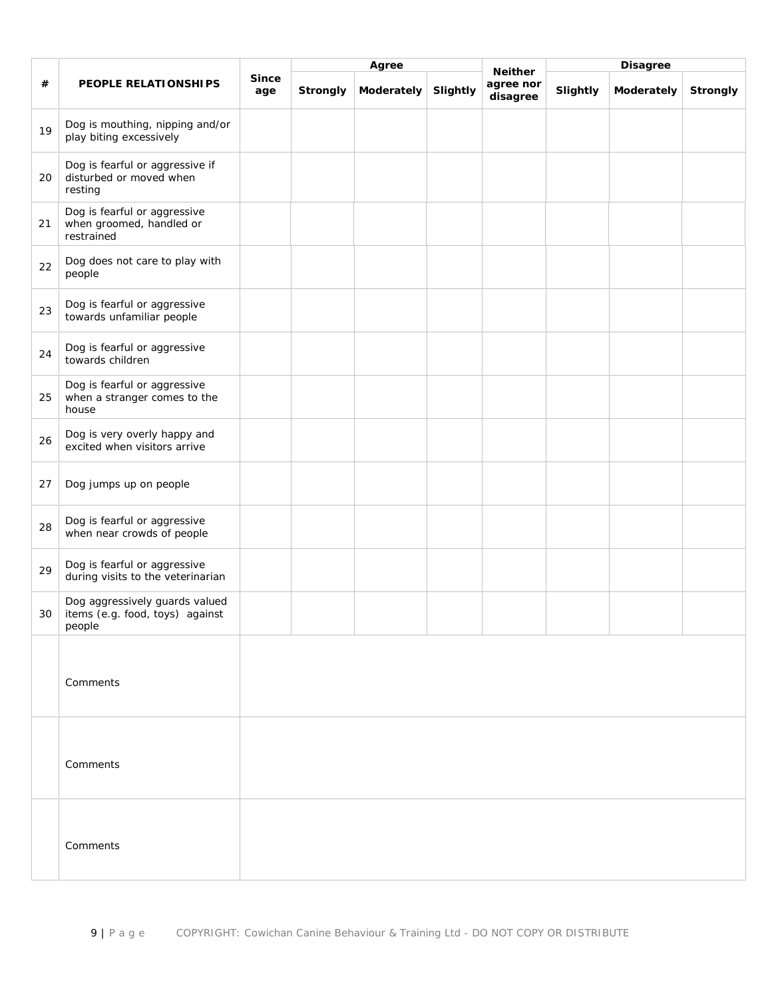|    |                                                                             |                     | Agree    |            |          | <b>Disagree</b>                         |          |            |          |
|----|-----------------------------------------------------------------------------|---------------------|----------|------------|----------|-----------------------------------------|----------|------------|----------|
| #  | PEOPLE RELATIONSHIPS                                                        | <b>Since</b><br>age | Strongly | Moderately | Slightly | <b>Neither</b><br>agree nor<br>disagree | Slightly | Moderately | Strongly |
| 19 | Dog is mouthing, nipping and/or<br>play biting excessively                  |                     |          |            |          |                                         |          |            |          |
| 20 | Dog is fearful or aggressive if<br>disturbed or moved when<br>resting       |                     |          |            |          |                                         |          |            |          |
| 21 | Dog is fearful or aggressive<br>when groomed, handled or<br>restrained      |                     |          |            |          |                                         |          |            |          |
| 22 | Dog does not care to play with<br>people                                    |                     |          |            |          |                                         |          |            |          |
| 23 | Dog is fearful or aggressive<br>towards unfamiliar people                   |                     |          |            |          |                                         |          |            |          |
| 24 | Dog is fearful or aggressive<br>towards children                            |                     |          |            |          |                                         |          |            |          |
| 25 | Dog is fearful or aggressive<br>when a stranger comes to the<br>house       |                     |          |            |          |                                         |          |            |          |
| 26 | Dog is very overly happy and<br>excited when visitors arrive                |                     |          |            |          |                                         |          |            |          |
| 27 | Dog jumps up on people                                                      |                     |          |            |          |                                         |          |            |          |
| 28 | Dog is fearful or aggressive<br>when near crowds of people                  |                     |          |            |          |                                         |          |            |          |
| 29 | Dog is fearful or aggressive<br>during visits to the veterinarian           |                     |          |            |          |                                         |          |            |          |
| 30 | Dog aggressively guards valued<br>items (e.g. food, toys) against<br>people |                     |          |            |          |                                         |          |            |          |
|    | Comments                                                                    |                     |          |            |          |                                         |          |            |          |
|    | Comments                                                                    |                     |          |            |          |                                         |          |            |          |
|    | Comments                                                                    |                     |          |            |          |                                         |          |            |          |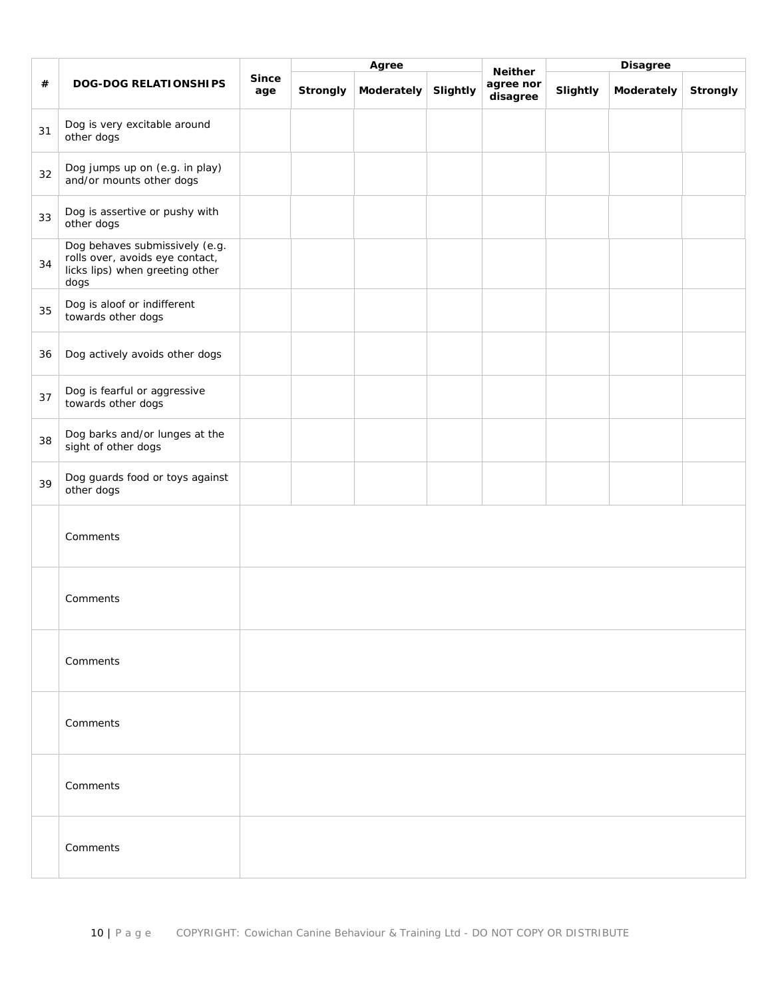|    |                                                                                                              |                     |          | Agree      |          |                                         | <b>Disagree</b> |            |          |
|----|--------------------------------------------------------------------------------------------------------------|---------------------|----------|------------|----------|-----------------------------------------|-----------------|------------|----------|
| #  | <b>DOG-DOG RELATIONSHIPS</b>                                                                                 | <b>Since</b><br>age | Strongly | Moderately | Slightly | <b>Neither</b><br>agree nor<br>disagree | Slightly        | Moderately | Strongly |
| 31 | Dog is very excitable around<br>other dogs                                                                   |                     |          |            |          |                                         |                 |            |          |
| 32 | Dog jumps up on (e.g. in play)<br>and/or mounts other dogs                                                   |                     |          |            |          |                                         |                 |            |          |
| 33 | Dog is assertive or pushy with<br>other dogs                                                                 |                     |          |            |          |                                         |                 |            |          |
| 34 | Dog behaves submissively (e.g.<br>rolls over, avoids eye contact,<br>licks lips) when greeting other<br>dogs |                     |          |            |          |                                         |                 |            |          |
| 35 | Dog is aloof or indifferent<br>towards other dogs                                                            |                     |          |            |          |                                         |                 |            |          |
| 36 | Dog actively avoids other dogs                                                                               |                     |          |            |          |                                         |                 |            |          |
| 37 | Dog is fearful or aggressive<br>towards other dogs                                                           |                     |          |            |          |                                         |                 |            |          |
| 38 | Dog barks and/or lunges at the<br>sight of other dogs                                                        |                     |          |            |          |                                         |                 |            |          |
| 39 | Dog guards food or toys against<br>other dogs                                                                |                     |          |            |          |                                         |                 |            |          |
|    | Comments                                                                                                     |                     |          |            |          |                                         |                 |            |          |
|    | Comments                                                                                                     |                     |          |            |          |                                         |                 |            |          |
|    | Comments                                                                                                     |                     |          |            |          |                                         |                 |            |          |
|    | Comments                                                                                                     |                     |          |            |          |                                         |                 |            |          |
|    | Comments                                                                                                     |                     |          |            |          |                                         |                 |            |          |
|    | Comments                                                                                                     |                     |          |            |          |                                         |                 |            |          |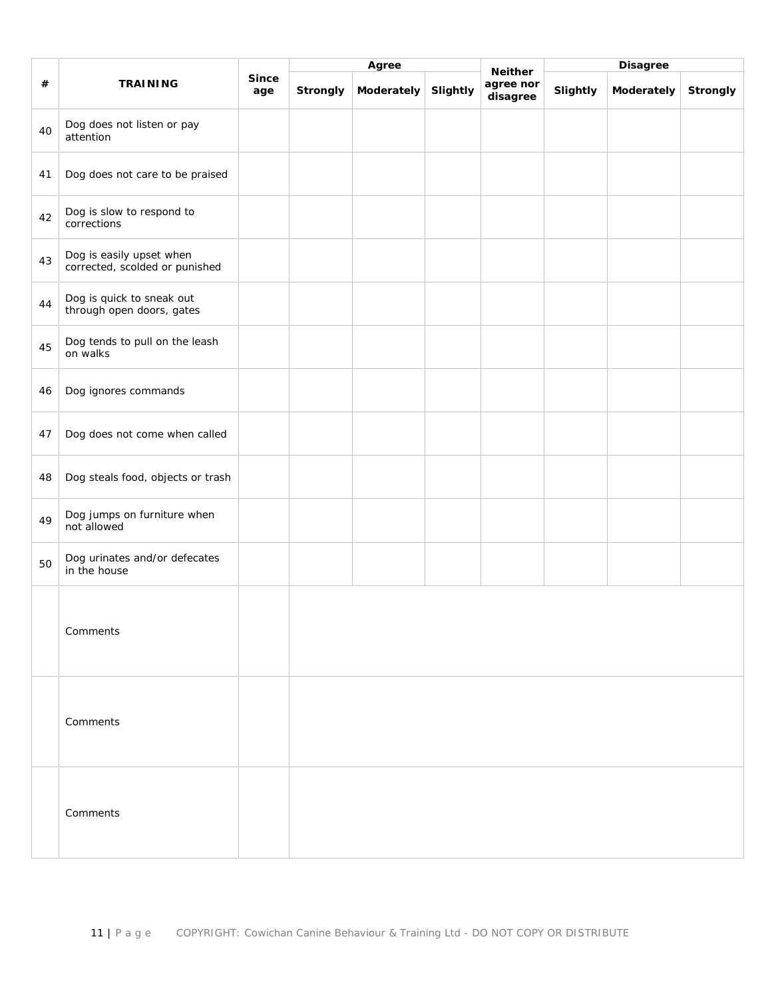|    |                                                            |                     | Agree           |            |          |                                         | <b>Disagree</b> |            |          |
|----|------------------------------------------------------------|---------------------|-----------------|------------|----------|-----------------------------------------|-----------------|------------|----------|
| #  | <b>TRAINING</b>                                            | <b>Since</b><br>age | <b>Strongly</b> | Moderately | Slightly | <b>Neither</b><br>agree nor<br>disagree | Slightly        | Moderately | Strongly |
| 40 | Dog does not listen or pay<br>attention                    |                     |                 |            |          |                                         |                 |            |          |
| 41 | Dog does not care to be praised                            |                     |                 |            |          |                                         |                 |            |          |
| 42 | Dog is slow to respond to<br>corrections                   |                     |                 |            |          |                                         |                 |            |          |
| 43 | Dog is easily upset when<br>corrected, scolded or punished |                     |                 |            |          |                                         |                 |            |          |
| 44 | Dog is quick to sneak out<br>through open doors, gates     |                     |                 |            |          |                                         |                 |            |          |
| 45 | Dog tends to pull on the leash<br>on walks                 |                     |                 |            |          |                                         |                 |            |          |
| 46 | Dog ignores commands                                       |                     |                 |            |          |                                         |                 |            |          |
| 47 | Dog does not come when called                              |                     |                 |            |          |                                         |                 |            |          |
| 48 | Dog steals food, objects or trash                          |                     |                 |            |          |                                         |                 |            |          |
| 49 | Dog jumps on furniture when<br>not allowed                 |                     |                 |            |          |                                         |                 |            |          |
| 50 | Dog urinates and/or defecates<br>in the house              |                     |                 |            |          |                                         |                 |            |          |
|    | Comments                                                   |                     |                 |            |          |                                         |                 |            |          |
|    | Comments                                                   |                     |                 |            |          |                                         |                 |            |          |
|    | Comments                                                   |                     |                 |            |          |                                         |                 |            |          |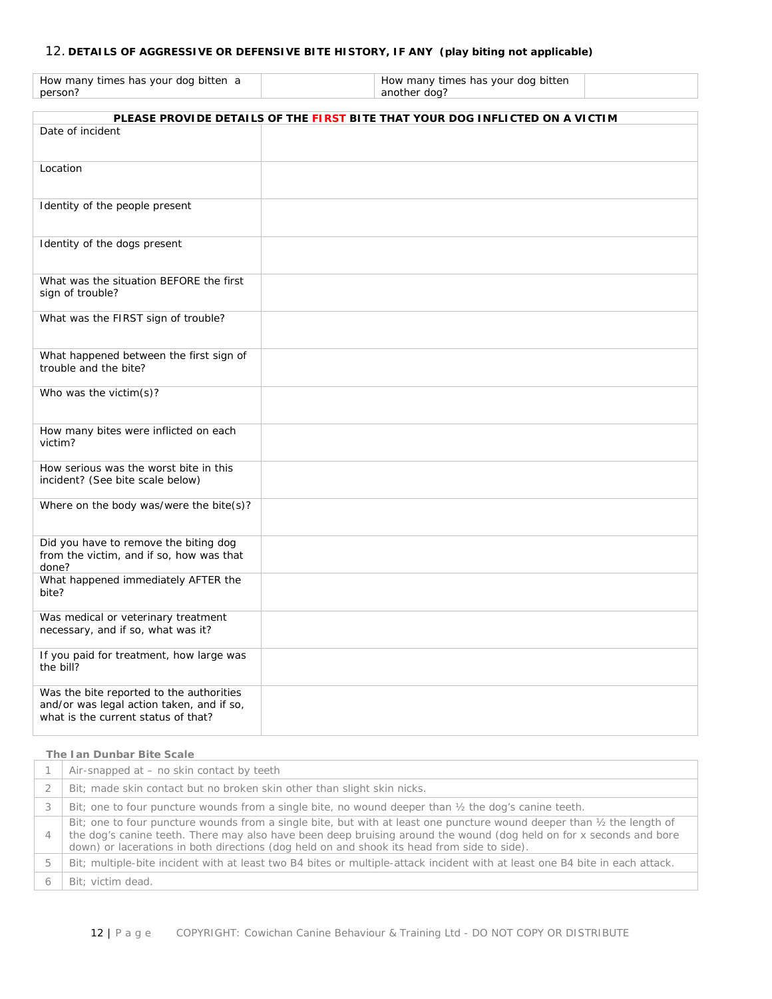# 12. **DETAILS OF AGGRESSIVE OR DEFENSIVE BITE HISTORY, IF ANY (play biting not applicable)**

| How many times has your dog bitten a |  |
|--------------------------------------|--|
| person?                              |  |

How many times has your dog bitten another dog?

|                                                                                                                              | PLEASE PROVIDE DETAILS OF THE FIRST BITE THAT YOUR DOG INFLICTED ON A VICTIM |
|------------------------------------------------------------------------------------------------------------------------------|------------------------------------------------------------------------------|
| Date of incident                                                                                                             |                                                                              |
|                                                                                                                              |                                                                              |
| Location                                                                                                                     |                                                                              |
| Identity of the people present                                                                                               |                                                                              |
| Identity of the dogs present                                                                                                 |                                                                              |
| What was the situation BEFORE the first<br>sign of trouble?                                                                  |                                                                              |
| What was the FIRST sign of trouble?                                                                                          |                                                                              |
| What happened between the first sign of<br>trouble and the bite?                                                             |                                                                              |
| Who was the victim(s)?                                                                                                       |                                                                              |
| How many bites were inflicted on each<br>victim?                                                                             |                                                                              |
| How serious was the worst bite in this<br>incident? (See bite scale below)                                                   |                                                                              |
| Where on the body was/were the bite(s)?                                                                                      |                                                                              |
| Did you have to remove the biting dog<br>from the victim, and if so, how was that<br>done?                                   |                                                                              |
| What happened immediately AFTER the<br>bite?                                                                                 |                                                                              |
| Was medical or veterinary treatment<br>necessary, and if so, what was it?                                                    |                                                                              |
| If you paid for treatment, how large was<br>the bill?                                                                        |                                                                              |
| Was the bite reported to the authorities<br>and/or was legal action taken, and if so,<br>what is the current status of that? |                                                                              |

#### **The Ian Dunbar Bite Scale**

|                | Air-snapped at – no skin contact by teeth                                                                                                                                                                                                                                                                                                               |
|----------------|---------------------------------------------------------------------------------------------------------------------------------------------------------------------------------------------------------------------------------------------------------------------------------------------------------------------------------------------------------|
|                | Bit; made skin contact but no broken skin other than slight skin nicks.                                                                                                                                                                                                                                                                                 |
|                | Bit; one to four puncture wounds from a single bite, no wound deeper than $\frac{1}{2}$ the dog's canine teeth.                                                                                                                                                                                                                                         |
| $\overline{4}$ | Bit; one to four puncture wounds from a single bite, but with at least one puncture wound deeper than $\frac{1}{2}$ the length of<br>the dog's canine teeth. There may also have been deep bruising around the wound (dog held on for x seconds and bore<br>down) or lacerations in both directions (dog held on and shook its head from side to side). |
| 5              | Bit; multiple-bite incident with at least two B4 bites or multiple-attack incident with at least one B4 bite in each attack.                                                                                                                                                                                                                            |
|                | Bit: victim dead.                                                                                                                                                                                                                                                                                                                                       |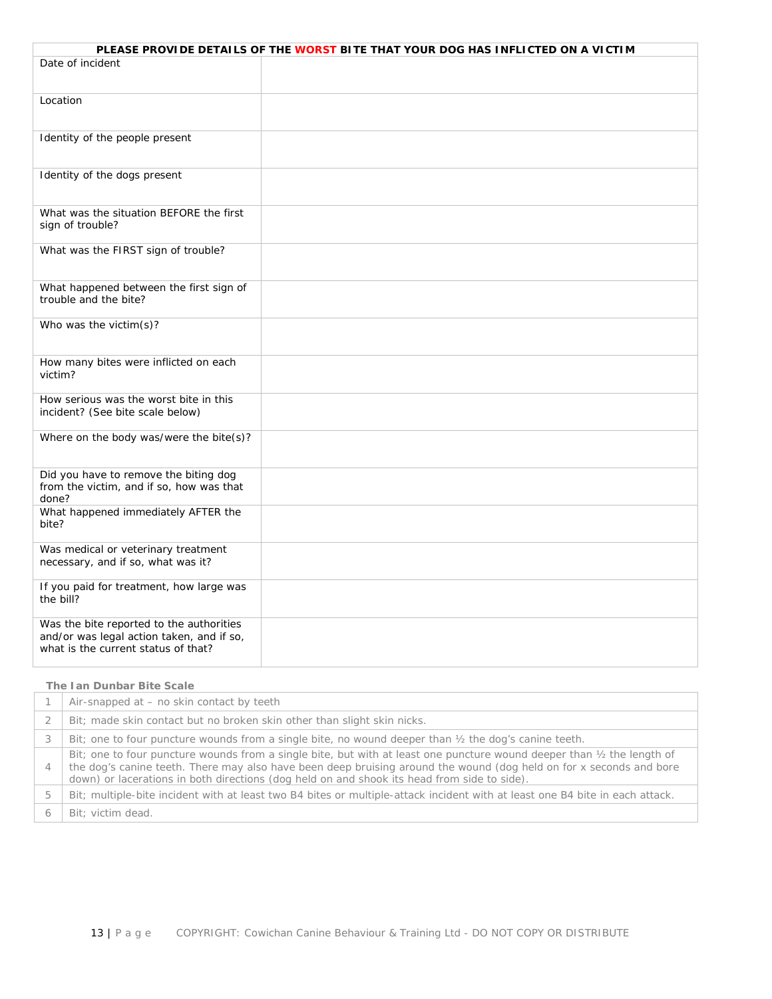|                                                                                                                              | PLEASE PROVIDE DETAILS OF THE WORST BITE THAT YOUR DOG HAS INFLICTED ON A VICTIM |
|------------------------------------------------------------------------------------------------------------------------------|----------------------------------------------------------------------------------|
| Date of incident                                                                                                             |                                                                                  |
|                                                                                                                              |                                                                                  |
| Location                                                                                                                     |                                                                                  |
| Identity of the people present                                                                                               |                                                                                  |
| Identity of the dogs present                                                                                                 |                                                                                  |
| What was the situation BEFORE the first<br>sign of trouble?                                                                  |                                                                                  |
| What was the FIRST sign of trouble?                                                                                          |                                                                                  |
| What happened between the first sign of<br>trouble and the bite?                                                             |                                                                                  |
| Who was the victim(s)?                                                                                                       |                                                                                  |
| How many bites were inflicted on each<br>victim?                                                                             |                                                                                  |
| How serious was the worst bite in this<br>incident? (See bite scale below)                                                   |                                                                                  |
| Where on the body was/were the bite(s)?                                                                                      |                                                                                  |
| Did you have to remove the biting dog<br>from the victim, and if so, how was that<br>done?                                   |                                                                                  |
| What happened immediately AFTER the<br>bite?                                                                                 |                                                                                  |
| Was medical or veterinary treatment<br>necessary, and if so, what was it?                                                    |                                                                                  |
| If you paid for treatment, how large was<br>the bill?                                                                        |                                                                                  |
| Was the bite reported to the authorities<br>and/or was legal action taken, and if so,<br>what is the current status of that? |                                                                                  |

#### **The Ian Dunbar Bite Scale**

|                | Air-snapped at – no skin contact by teeth                                                                                                                                                                                                                                                                                                               |
|----------------|---------------------------------------------------------------------------------------------------------------------------------------------------------------------------------------------------------------------------------------------------------------------------------------------------------------------------------------------------------|
|                | Bit; made skin contact but no broken skin other than slight skin nicks.                                                                                                                                                                                                                                                                                 |
|                | Bit; one to four puncture wounds from a single bite, no wound deeper than $\frac{1}{2}$ the dog's canine teeth.                                                                                                                                                                                                                                         |
| $\overline{4}$ | Bit; one to four puncture wounds from a single bite, but with at least one puncture wound deeper than $\frac{1}{2}$ the length of<br>the dog's canine teeth. There may also have been deep bruising around the wound (dog held on for x seconds and bore<br>down) or lacerations in both directions (dog held on and shook its head from side to side). |
| 5              | Bit; multiple-bite incident with at least two B4 bites or multiple-attack incident with at least one B4 bite in each attack.                                                                                                                                                                                                                            |
|                | Bit: victim dead.                                                                                                                                                                                                                                                                                                                                       |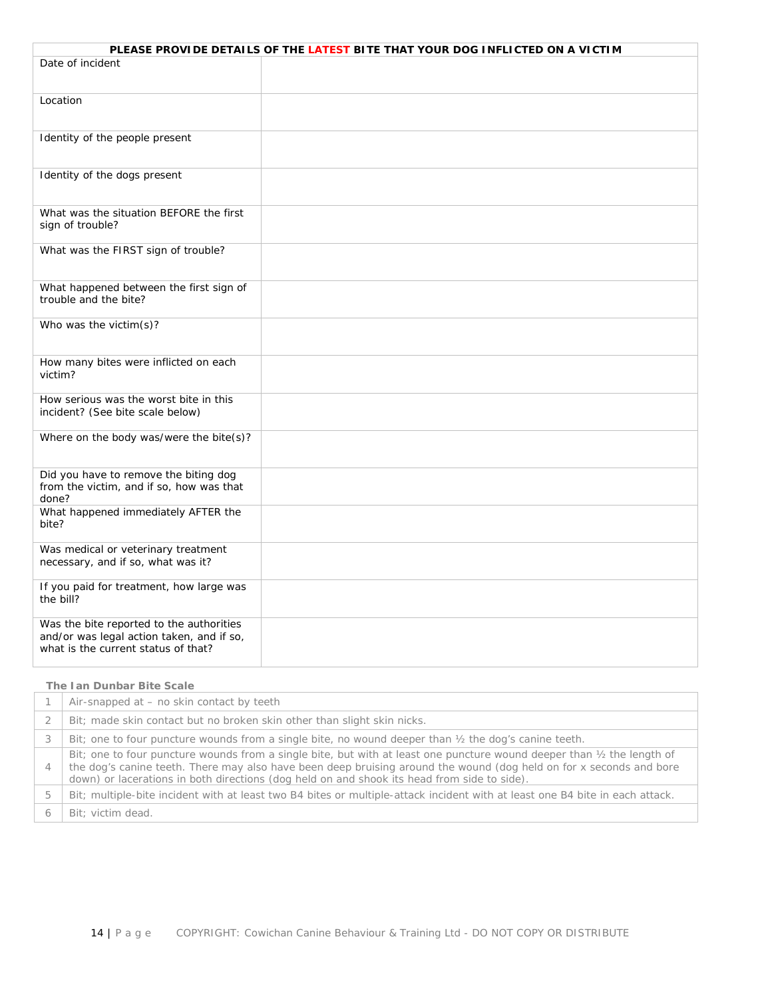| PLEASE PROVIDE DETAILS OF THE LATEST BITE THAT YOUR DOG INFLICTED ON A VICTIM                                                |  |  |  |  |
|------------------------------------------------------------------------------------------------------------------------------|--|--|--|--|
| Date of incident                                                                                                             |  |  |  |  |
| Location                                                                                                                     |  |  |  |  |
| Identity of the people present                                                                                               |  |  |  |  |
| Identity of the dogs present                                                                                                 |  |  |  |  |
| What was the situation BEFORE the first<br>sign of trouble?                                                                  |  |  |  |  |
| What was the FIRST sign of trouble?                                                                                          |  |  |  |  |
| What happened between the first sign of<br>trouble and the bite?                                                             |  |  |  |  |
| Who was the victim(s)?                                                                                                       |  |  |  |  |
| How many bites were inflicted on each<br>victim?                                                                             |  |  |  |  |
| How serious was the worst bite in this<br>incident? (See bite scale below)                                                   |  |  |  |  |
| Where on the body was/were the bite(s)?                                                                                      |  |  |  |  |
| Did you have to remove the biting dog<br>from the victim, and if so, how was that<br>done?                                   |  |  |  |  |
| What happened immediately AFTER the<br>bite?                                                                                 |  |  |  |  |
| Was medical or veterinary treatment<br>necessary, and if so, what was it?                                                    |  |  |  |  |
| If you paid for treatment, how large was<br>the bill?                                                                        |  |  |  |  |
| Was the bite reported to the authorities<br>and/or was legal action taken, and if so,<br>what is the current status of that? |  |  |  |  |

# **The Ian Dunbar Bite Scale**

|                | Air-snapped at – no skin contact by teeth                                                                                                                                                                                                                                                                                                               |
|----------------|---------------------------------------------------------------------------------------------------------------------------------------------------------------------------------------------------------------------------------------------------------------------------------------------------------------------------------------------------------|
|                | Bit; made skin contact but no broken skin other than slight skin nicks.                                                                                                                                                                                                                                                                                 |
|                | Bit; one to four puncture wounds from a single bite, no wound deeper than $\frac{1}{2}$ the dog's canine teeth.                                                                                                                                                                                                                                         |
| $\overline{4}$ | Bit; one to four puncture wounds from a single bite, but with at least one puncture wound deeper than $\frac{1}{2}$ the length of<br>the dog's canine teeth. There may also have been deep bruising around the wound (dog held on for x seconds and bore<br>down) or lacerations in both directions (dog held on and shook its head from side to side). |
| 5              | Bit; multiple-bite incident with at least two B4 bites or multiple-attack incident with at least one B4 bite in each attack.                                                                                                                                                                                                                            |
|                | Bit: victim dead.                                                                                                                                                                                                                                                                                                                                       |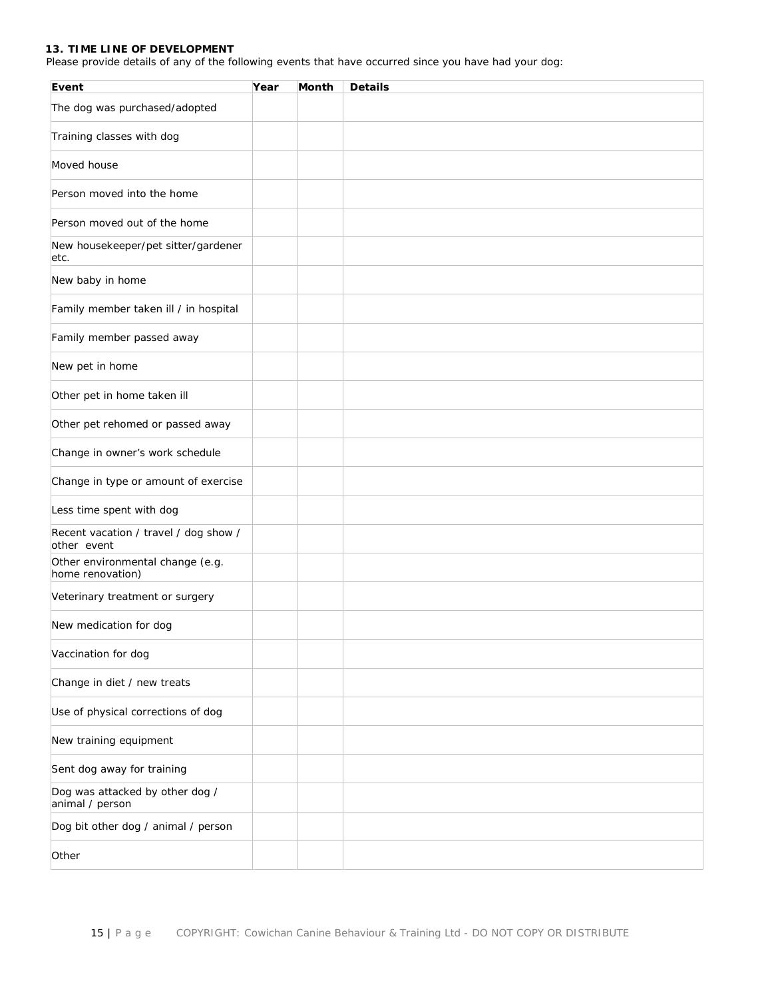# **13. TIME LINE OF DEVELOPMENT**

Please provide details of any of the following events that have occurred since you have had your dog:

| Event                                                | Year | Month | <b>Details</b> |
|------------------------------------------------------|------|-------|----------------|
| The dog was purchased/adopted                        |      |       |                |
| Training classes with dog                            |      |       |                |
| Moved house                                          |      |       |                |
| Person moved into the home                           |      |       |                |
| Person moved out of the home                         |      |       |                |
| New housekeeper/pet sitter/gardener<br>etc.          |      |       |                |
| New baby in home                                     |      |       |                |
| Family member taken ill / in hospital                |      |       |                |
| Family member passed away                            |      |       |                |
| New pet in home                                      |      |       |                |
| Other pet in home taken ill                          |      |       |                |
| Other pet rehomed or passed away                     |      |       |                |
| Change in owner's work schedule                      |      |       |                |
| Change in type or amount of exercise                 |      |       |                |
| Less time spent with dog                             |      |       |                |
| Recent vacation / travel / dog show /<br>other event |      |       |                |
| Other environmental change (e.g.<br>home renovation) |      |       |                |
| Veterinary treatment or surgery                      |      |       |                |
| New medication for dog                               |      |       |                |
| Vaccination for dog                                  |      |       |                |
| Change in diet / new treats                          |      |       |                |
| Use of physical corrections of dog                   |      |       |                |
| New training equipment                               |      |       |                |
| Sent dog away for training                           |      |       |                |
| Dog was attacked by other dog /<br>animal / person   |      |       |                |
| Dog bit other dog / animal / person                  |      |       |                |
| Other                                                |      |       |                |